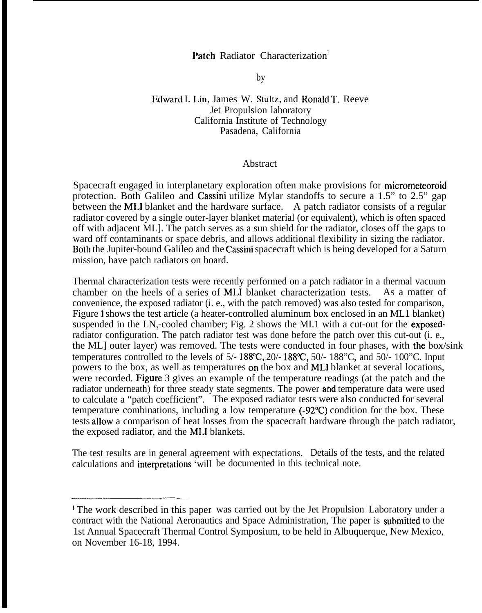## Patch Radiator Characterization

by

## Edward I. I.in, James W. Stultz, and Ronald 1'. Reeve Jet Propulsion laboratory California Institute of Technology Pasadena, California

## Abstract

Spacecraft engaged in interplanetary exploration often make provisions for micrometeoroid protection. Both Galileo and Cassini utilize Mylar standoffs to secure a 1.5" to 2.5" gap between the MLI blanket and the hardware surface. A patch radiator consists of a regular radiator covered by a single outer-layer blanket material (or equivalent), which is often spaced off with adjacent ML]. The patch serves as a sun shield for the radiator, closes off the gaps to ward off contaminants or space debris, and allows additional flexibility in sizing the radiator. Both the Jupiter-bound Galileo and the Cassini spacecraft which is being developed for a Saturn mission, have patch radiators on board.

Thermal characterization tests were recently performed on a patch radiator in a thermal vacuum chamber on the heels of a series of MI.I blanket characterization tests. As a matter of convenience, the exposed radiator (i. e., with the patch removed) was also tested for comparison, Figure 1 shows the test article (a heater-controlled aluminum box enclosed in an ML1 blanket) suspended in the  $LN_2$ -cooled chamber; Fig. 2 shows the MI.1 with a cut-out for the **exposed**radiator configuration. The patch radiator test was done before the patch over this cut-out (i. e., the ML] outer layer) was removed. The tests were conducted in four phases, with the box/sink temperatures controlled to the levels of  $5/- 188$ °C,  $20/- 188$ °C,  $50/- 188$ °C, and  $50/- 100$ °C. Input powers to the box, as well as temperatures on the box and ML1 blanket at several locations, were recorded. Figure 3 gives an example of the temperature readings (at the patch and the radiator underneath) for three steady state segments. The power and temperature data were used to calculate a "patch coefficient". The exposed radiator tests were also conducted for several temperature combinations, including a low temperature (-92"C) condition for the box. These tests allow a comparison of heat losses from the spacecraft hardware through the patch radiator, the exposed radiator, and the MI.I blankets.

The test results are in general agreement with expectations. Details of the tests, and the related calculations and interpretations 'will be documented in this technical note.

———-—. — —.— ..— —.

i The work described in this paper was carried out by the Jet Propulsion Laboratory under a contract with the National Aeronautics and Space Administration, The paper is submitted to the 1st Annual Spacecraft Thermal Control Symposium, to be held in Albuquerque, New Mexico, on November 16-18, 1994.